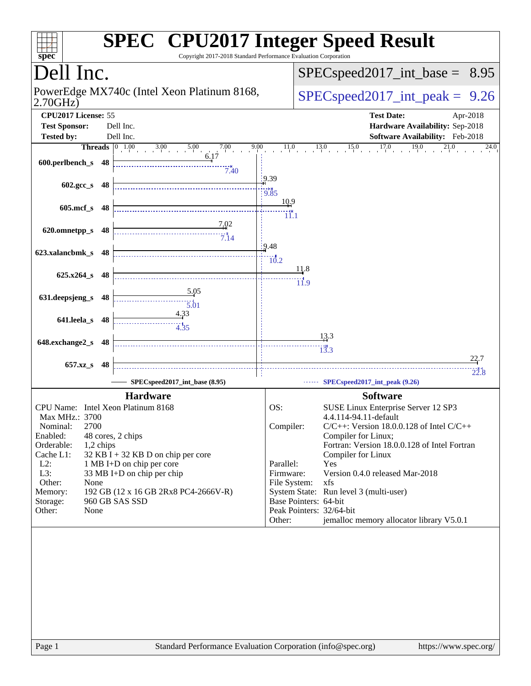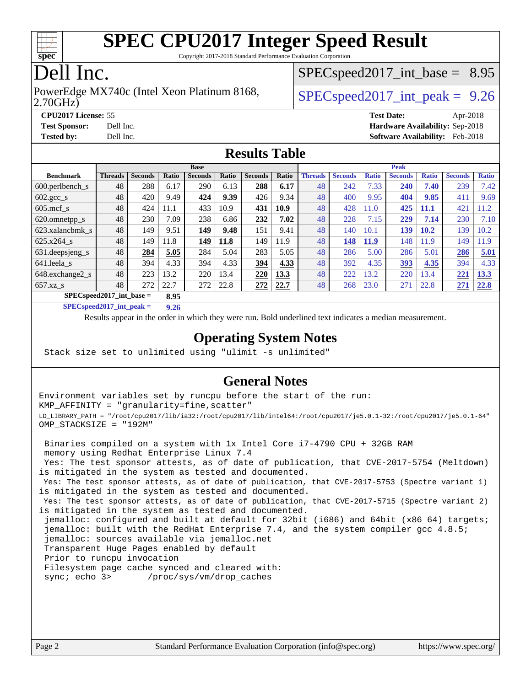

Copyright 2017-2018 Standard Performance Evaluation Corporation

## Dell Inc.

### 2.70GHz) PowerEdge MX740c (Intel Xeon Platinum 8168,  $\vert$  [SPECspeed2017\\_int\\_peak =](http://www.spec.org/auto/cpu2017/Docs/result-fields.html#SPECspeed2017intpeak) 9.26

 $SPECspeed2017\_int\_base = 8.95$ 

**[CPU2017 License:](http://www.spec.org/auto/cpu2017/Docs/result-fields.html#CPU2017License)** 55 **[Test Date:](http://www.spec.org/auto/cpu2017/Docs/result-fields.html#TestDate)** Apr-2018 **[Test Sponsor:](http://www.spec.org/auto/cpu2017/Docs/result-fields.html#TestSponsor)** Dell Inc. **[Hardware Availability:](http://www.spec.org/auto/cpu2017/Docs/result-fields.html#HardwareAvailability)** Sep-2018 **[Tested by:](http://www.spec.org/auto/cpu2017/Docs/result-fields.html#Testedby)** Dell Inc. **[Software Availability:](http://www.spec.org/auto/cpu2017/Docs/result-fields.html#SoftwareAvailability)** Feb-2018

### **[Results Table](http://www.spec.org/auto/cpu2017/Docs/result-fields.html#ResultsTable)**

|                                      | <b>Base</b>    |                |       |                |       | <b>Peak</b>    |       |                |                |              |                |              |                |              |
|--------------------------------------|----------------|----------------|-------|----------------|-------|----------------|-------|----------------|----------------|--------------|----------------|--------------|----------------|--------------|
| <b>Benchmark</b>                     | <b>Threads</b> | <b>Seconds</b> | Ratio | <b>Seconds</b> | Ratio | <b>Seconds</b> | Ratio | <b>Threads</b> | <b>Seconds</b> | <b>Ratio</b> | <b>Seconds</b> | <b>Ratio</b> | <b>Seconds</b> | <b>Ratio</b> |
| 600.perlbench s                      | 48             | 288            | 6.17  | 290            | 6.13  | 288            | 6.17  | 48             | 242            | 7.33         | 240            | 7.40         | 239            | 7.42         |
| $602 \text{.} \text{gcc}\text{.}$ s  | 48             | 420            | 9.49  | 424            | 9.39  | 426            | 9.34  | 48             | 400            | 9.95         | 404            | 9.85         | 411            | 9.69         |
| $605 \text{.mcf}$ s                  | 48             | 424            | 11.1  | 433            | 10.9  | 431            | 10.9  | 48             | 428            | 11.0         | 425            | <u>11,1</u>  | 421            | 1.2          |
| 620.omnetpp_s                        | 48             | 230            | 7.09  | 238            | 6.86  | 232            | 7.02  | 48             | 228            | 7.15         | 229            | 7.14         | 230            | 7.10         |
| 623.xalancbmk s                      | 48             | 149            | 9.51  | 149            | 9.48  | 151            | 9.41  | 48             | 140            | 10.1         | <u>139</u>     | <b>10.2</b>  | 139            | 10.2         |
| 625.x264 s                           | 48             | 149            | 11.8  | 149            | 11.8  | 149            | 11.9  | 48             | 148            | <b>11.9</b>  | 148            | 11.9         | 149            | 1.9          |
| 631.deepsjeng_s                      | 48             | 284            | 5.05  | 284            | 5.04  | 283            | 5.05  | 48             | 286            | 5.00         | 286            | 5.01         | 286            | 5.01         |
| 641.leela s                          | 48             | 394            | 4.33  | 394            | 4.33  | 394            | 4.33  | 48             | 392            | 4.35         | 393            | 4.35         | 394            | 4.33         |
| 648.exchange2_s                      | 48             | 223            | 13.2  | 220            | 13.4  | 220            | 13.3  | 48             | 222            | 13.2         | 220            | 13.4         | 221            | 13.3         |
| $657.xz$ <sub>S</sub>                | 48             | 272            | 22.7  | 272            | 22.8  | 272            | 22.7  | 48             | 268            | 23.0         | 271            | 22.8         | 271            | 22.8         |
| $SPECspeed2017\_int\_base =$<br>8.95 |                |                |       |                |       |                |       |                |                |              |                |              |                |              |

**[SPECspeed2017\\_int\\_peak =](http://www.spec.org/auto/cpu2017/Docs/result-fields.html#SPECspeed2017intpeak) 9.26**

Results appear in the [order in which they were run.](http://www.spec.org/auto/cpu2017/Docs/result-fields.html#RunOrder) Bold underlined text [indicates a median measurement](http://www.spec.org/auto/cpu2017/Docs/result-fields.html#Median).

### **[Operating System Notes](http://www.spec.org/auto/cpu2017/Docs/result-fields.html#OperatingSystemNotes)**

Stack size set to unlimited using "ulimit -s unlimited"

### **[General Notes](http://www.spec.org/auto/cpu2017/Docs/result-fields.html#GeneralNotes)**

Environment variables set by runcpu before the start of the run: KMP\_AFFINITY = "granularity=fine,scatter" LD\_LIBRARY\_PATH = "/root/cpu2017/lib/ia32:/root/cpu2017/lib/intel64:/root/cpu2017/je5.0.1-32:/root/cpu2017/je5.0.1-64" OMP\_STACKSIZE = "192M"

 Binaries compiled on a system with 1x Intel Core i7-4790 CPU + 32GB RAM memory using Redhat Enterprise Linux 7.4 Yes: The test sponsor attests, as of date of publication, that CVE-2017-5754 (Meltdown) is mitigated in the system as tested and documented. Yes: The test sponsor attests, as of date of publication, that CVE-2017-5753 (Spectre variant 1) is mitigated in the system as tested and documented. Yes: The test sponsor attests, as of date of publication, that CVE-2017-5715 (Spectre variant 2) is mitigated in the system as tested and documented. jemalloc: configured and built at default for 32bit (i686) and 64bit (x86\_64) targets; jemalloc: built with the RedHat Enterprise 7.4, and the system compiler gcc 4.8.5; jemalloc: sources available via jemalloc.net Transparent Huge Pages enabled by default Prior to runcpu invocation Filesystem page cache synced and cleared with: sync; echo 3> /proc/sys/vm/drop\_caches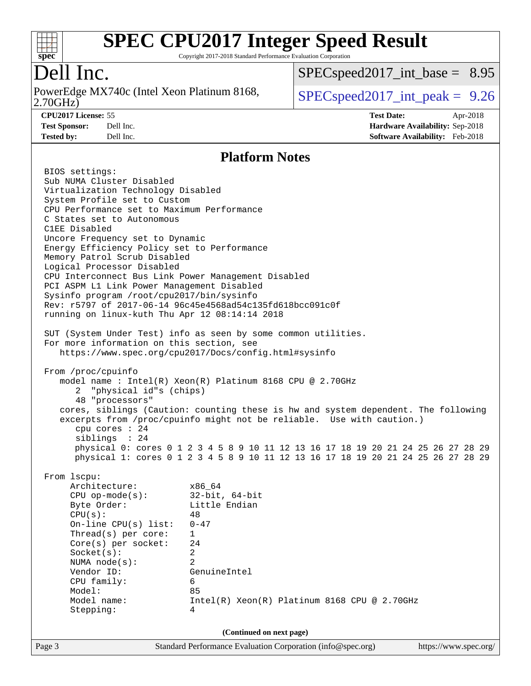

Copyright 2017-2018 Standard Performance Evaluation Corporation

Dell Inc.<br>PowerEdge MX740c (Intel Xeon Platinum 8168, 2.70GHz)

[SPECspeed2017\\_int\\_base =](http://www.spec.org/auto/cpu2017/Docs/result-fields.html#SPECspeed2017intbase) 8.95

 $SPEC speed2017\_int\_peak = 9.26$ 

**[CPU2017 License:](http://www.spec.org/auto/cpu2017/Docs/result-fields.html#CPU2017License)** 55 **[Test Date:](http://www.spec.org/auto/cpu2017/Docs/result-fields.html#TestDate)** Apr-2018 **[Test Sponsor:](http://www.spec.org/auto/cpu2017/Docs/result-fields.html#TestSponsor)** Dell Inc. **[Hardware Availability:](http://www.spec.org/auto/cpu2017/Docs/result-fields.html#HardwareAvailability)** Sep-2018 **[Tested by:](http://www.spec.org/auto/cpu2017/Docs/result-fields.html#Testedby)** Dell Inc. **[Software Availability:](http://www.spec.org/auto/cpu2017/Docs/result-fields.html#SoftwareAvailability)** Feb-2018

### **[Platform Notes](http://www.spec.org/auto/cpu2017/Docs/result-fields.html#PlatformNotes)**

|                                                                                                                                                                                                                                                                                                                                                                                                                                     | (Continued on next page)                                                                                                                                                                                                                                                                                                                                                                                                                                        |  |
|-------------------------------------------------------------------------------------------------------------------------------------------------------------------------------------------------------------------------------------------------------------------------------------------------------------------------------------------------------------------------------------------------------------------------------------|-----------------------------------------------------------------------------------------------------------------------------------------------------------------------------------------------------------------------------------------------------------------------------------------------------------------------------------------------------------------------------------------------------------------------------------------------------------------|--|
|                                                                                                                                                                                                                                                                                                                                                                                                                                     |                                                                                                                                                                                                                                                                                                                                                                                                                                                                 |  |
| From 1scpu:<br>Architecture:<br>CPU op-mode(s):<br>Byte Order:<br>CPU(s):<br>On-line CPU(s) list:<br>$Thread(s)$ per core:<br>$Core(s)$ per socket:<br>Socket(s):<br>NUMA node(s):<br>Vendor ID:<br>CPU family:<br>Model:<br>Model name:<br>Stepping:                                                                                                                                                                               | x86 64<br>32-bit, 64-bit<br>Little Endian<br>48<br>$0 - 47$<br>$\mathbf{1}$<br>24<br>$\overline{a}$<br>2<br>GenuineIntel<br>6<br>85<br>Intel(R) Xeon(R) Platinum 8168 CPU @ 2.70GHz<br>4                                                                                                                                                                                                                                                                        |  |
| From /proc/cpuinfo<br>2 "physical id"s (chips)<br>48 "processors"<br>cpu cores $: 24$<br>siblings : 24                                                                                                                                                                                                                                                                                                                              | https://www.spec.org/cpu2017/Docs/config.html#sysinfo<br>model name: $Intel(R)$ Xeon $(R)$ Platinum 8168 CPU @ 2.70GHz<br>cores, siblings (Caution: counting these is hw and system dependent. The following<br>excerpts from /proc/cpuinfo might not be reliable. Use with caution.)<br>physical 0: cores 0 1 2 3 4 5 8 9 10 11 12 13 16 17 18 19 20 21 24 25 26 27 28 29<br>physical 1: cores 0 1 2 3 4 5 8 9 10 11 12 13 16 17 18 19 20 21 24 25 26 27 28 29 |  |
| CPU Performance set to Maximum Performance<br>C States set to Autonomous<br>C1EE Disabled<br>Uncore Frequency set to Dynamic<br>Energy Efficiency Policy set to Performance<br>Memory Patrol Scrub Disabled<br>Logical Processor Disabled<br>PCI ASPM L1 Link Power Management Disabled<br>Sysinfo program /root/cpu2017/bin/sysinfo<br>running on linux-kuth Thu Apr 12 08:14:14 2018<br>For more information on this section, see | CPU Interconnect Bus Link Power Management Disabled<br>Rev: r5797 of 2017-06-14 96c45e4568ad54c135fd618bcc091c0f<br>SUT (System Under Test) info as seen by some common utilities.                                                                                                                                                                                                                                                                              |  |
| Virtualization Technology Disabled<br>System Profile set to Custom                                                                                                                                                                                                                                                                                                                                                                  |                                                                                                                                                                                                                                                                                                                                                                                                                                                                 |  |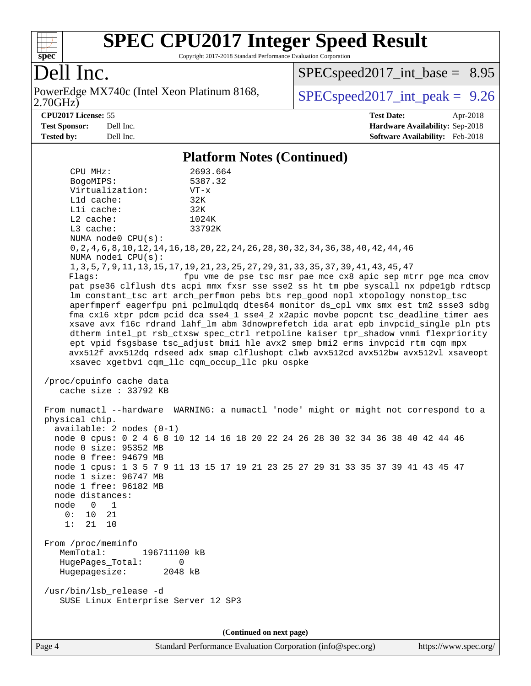

Copyright 2017-2018 Standard Performance Evaluation Corporation

## Dell Inc.

2.70GHz) PowerEdge MX740c (Intel Xeon Platinum 8168,  $\vert$  [SPECspeed2017\\_int\\_peak =](http://www.spec.org/auto/cpu2017/Docs/result-fields.html#SPECspeed2017intpeak) 9.26

 $SPECspeed2017\_int\_base = 8.95$ 

**[CPU2017 License:](http://www.spec.org/auto/cpu2017/Docs/result-fields.html#CPU2017License)** 55 **[Test Date:](http://www.spec.org/auto/cpu2017/Docs/result-fields.html#TestDate)** Apr-2018 **[Test Sponsor:](http://www.spec.org/auto/cpu2017/Docs/result-fields.html#TestSponsor)** Dell Inc. **[Hardware Availability:](http://www.spec.org/auto/cpu2017/Docs/result-fields.html#HardwareAvailability)** Sep-2018 **[Tested by:](http://www.spec.org/auto/cpu2017/Docs/result-fields.html#Testedby)** Dell Inc. **[Software Availability:](http://www.spec.org/auto/cpu2017/Docs/result-fields.html#SoftwareAvailability)** Feb-2018

### **[Platform Notes \(Continued\)](http://www.spec.org/auto/cpu2017/Docs/result-fields.html#PlatformNotes)**

 CPU MHz: 2693.664 BogoMIPS: 5387.32 Virtualization: VT-x L1d cache: 32K L1i cache: 32K L2 cache: 1024K L3 cache: 33792K NUMA node0 CPU(s): 0,2,4,6,8,10,12,14,16,18,20,22,24,26,28,30,32,34,36,38,40,42,44,46 NUMA node1 CPU(s): 1,3,5,7,9,11,13,15,17,19,21,23,25,27,29,31,33,35,37,39,41,43,45,47 Flags: fpu vme de pse tsc msr pae mce cx8 apic sep mtrr pge mca cmov pat pse36 clflush dts acpi mmx fxsr sse sse2 ss ht tm pbe syscall nx pdpe1gb rdtscp lm constant\_tsc art arch\_perfmon pebs bts rep\_good nopl xtopology nonstop\_tsc aperfmperf eagerfpu pni pclmulqdq dtes64 monitor ds\_cpl vmx smx est tm2 ssse3 sdbg fma cx16 xtpr pdcm pcid dca sse4\_1 sse4\_2 x2apic movbe popcnt tsc\_deadline\_timer aes xsave avx f16c rdrand lahf\_lm abm 3dnowprefetch ida arat epb invpcid\_single pln pts dtherm intel\_pt rsb\_ctxsw spec\_ctrl retpoline kaiser tpr\_shadow vnmi flexpriority ept vpid fsgsbase tsc\_adjust bmi1 hle avx2 smep bmi2 erms invpcid rtm cqm mpx avx512f avx512dq rdseed adx smap clflushopt clwb avx512cd avx512bw avx512vl xsaveopt xsavec xgetbv1 cqm\_llc cqm\_occup\_llc pku ospke /proc/cpuinfo cache data cache size : 33792 KB From numactl --hardware WARNING: a numactl 'node' might or might not correspond to a physical chip. available: 2 nodes (0-1) node 0 cpus: 0 2 4 6 8 10 12 14 16 18 20 22 24 26 28 30 32 34 36 38 40 42 44 46 node 0 size: 95352 MB node 0 free: 94679 MB node 1 cpus: 1 3 5 7 9 11 13 15 17 19 21 23 25 27 29 31 33 35 37 39 41 43 45 47 node 1 size: 96747 MB node 1 free: 96182 MB node distances: node 0 1 0: 10 21 1: 21 10 From /proc/meminfo MemTotal: 196711100 kB HugePages\_Total: 0 Hugepagesize: 2048 kB /usr/bin/lsb\_release -d SUSE Linux Enterprise Server 12 SP3 **(Continued on next page)**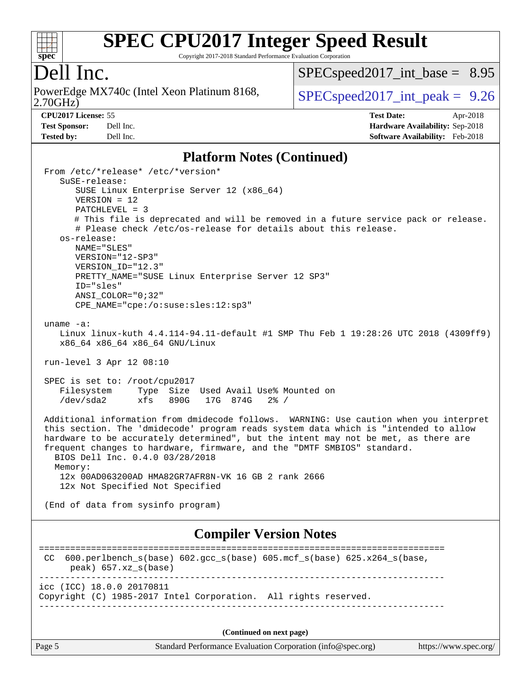

Copyright 2017-2018 Standard Performance Evaluation Corporation

### Dell Inc.

2.70GHz) PowerEdge MX740c (Intel Xeon Platinum 8168,  $\boxed{\text{SPEC speed2017\_int\_peak = 9.26}}$ 

[SPECspeed2017\\_int\\_base =](http://www.spec.org/auto/cpu2017/Docs/result-fields.html#SPECspeed2017intbase) 8.95

**[Tested by:](http://www.spec.org/auto/cpu2017/Docs/result-fields.html#Testedby)** Dell Inc. **[Software Availability:](http://www.spec.org/auto/cpu2017/Docs/result-fields.html#SoftwareAvailability)** Feb-2018

**[CPU2017 License:](http://www.spec.org/auto/cpu2017/Docs/result-fields.html#CPU2017License)** 55 **[Test Date:](http://www.spec.org/auto/cpu2017/Docs/result-fields.html#TestDate)** Apr-2018 **[Test Sponsor:](http://www.spec.org/auto/cpu2017/Docs/result-fields.html#TestSponsor)** Dell Inc. **[Hardware Availability:](http://www.spec.org/auto/cpu2017/Docs/result-fields.html#HardwareAvailability)** Sep-2018

### **[Platform Notes \(Continued\)](http://www.spec.org/auto/cpu2017/Docs/result-fields.html#PlatformNotes)**

| From /etc/*release* /etc/*version*<br>$S$ uSE-release:                                                                                                                                                                                                                                                                                                                                       |
|----------------------------------------------------------------------------------------------------------------------------------------------------------------------------------------------------------------------------------------------------------------------------------------------------------------------------------------------------------------------------------------------|
| SUSE Linux Enterprise Server 12 (x86_64)                                                                                                                                                                                                                                                                                                                                                     |
| $VERSION = 12$<br>$PATCHLEVEL = 3$                                                                                                                                                                                                                                                                                                                                                           |
| # This file is deprecated and will be removed in a future service pack or release.<br># Please check /etc/os-release for details about this release.                                                                                                                                                                                                                                         |
| os-release:<br>NAME="SLES"                                                                                                                                                                                                                                                                                                                                                                   |
| VERSION="12-SP3"<br>VERSION_ID="12.3"                                                                                                                                                                                                                                                                                                                                                        |
| PRETTY_NAME="SUSE Linux Enterprise Server 12 SP3"<br>ID="sles"                                                                                                                                                                                                                                                                                                                               |
| ANSI COLOR="0;32"                                                                                                                                                                                                                                                                                                                                                                            |
| CPE_NAME="cpe:/o:suse:sles:12:sp3"                                                                                                                                                                                                                                                                                                                                                           |
| uname $-a$ :                                                                                                                                                                                                                                                                                                                                                                                 |
| Linux linux-kuth 4.4.114-94.11-default #1 SMP Thu Feb 1 19:28:26 UTC 2018 (4309ff9)<br>x86_64 x86_64 x86_64 GNU/Linux                                                                                                                                                                                                                                                                        |
| run-level 3 Apr 12 08:10                                                                                                                                                                                                                                                                                                                                                                     |
| SPEC is set to: /root/cpu2017<br>Filesystem<br>Type Size Used Avail Use% Mounted on<br>/dev/sda2<br>xfs 890G 17G 874G<br>$2\frac{8}{1}$ /                                                                                                                                                                                                                                                    |
| Additional information from dmidecode follows. WARNING: Use caution when you interpret<br>this section. The 'dmidecode' program reads system data which is "intended to allow<br>hardware to be accurately determined", but the intent may not be met, as there are<br>frequent changes to hardware, firmware, and the "DMTF SMBIOS" standard.<br>BIOS Dell Inc. 0.4.0 03/28/2018<br>Memory: |
| 12x 00AD063200AD HMA82GR7AFR8N-VK 16 GB 2 rank 2666<br>12x Not Specified Not Specified                                                                                                                                                                                                                                                                                                       |
| (End of data from sysinfo program)                                                                                                                                                                                                                                                                                                                                                           |
| <b>Compiler Version Notes</b>                                                                                                                                                                                                                                                                                                                                                                |
| 600.perlbench_s(base) 602.gcc_s(base) 605.mcf_s(base) 625.x264_s(base,<br>CC<br>peak) 657.xz_s(base)                                                                                                                                                                                                                                                                                         |
| icc (ICC) 18.0.0 20170811<br>Copyright (C) 1985-2017 Intel Corporation. All rights reserved.                                                                                                                                                                                                                                                                                                 |
| (Continued on next page)                                                                                                                                                                                                                                                                                                                                                                     |
| Standard Performance Evaluation Corporation (info@spec.org)<br>Page 5<br>https://www.spec.org/                                                                                                                                                                                                                                                                                               |
|                                                                                                                                                                                                                                                                                                                                                                                              |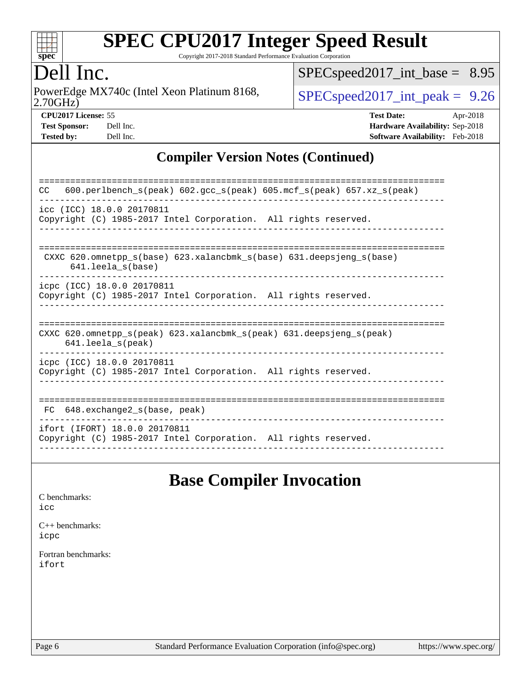

Copyright 2017-2018 Standard Performance Evaluation Corporation

### Dell Inc.

2.70GHz) PowerEdge MX740c (Intel Xeon Platinum 8168,  $\boxed{\text{SPEC speed2017\_int\_peak = 9.26}}$ 

[SPECspeed2017\\_int\\_base =](http://www.spec.org/auto/cpu2017/Docs/result-fields.html#SPECspeed2017intbase) 8.95

**[CPU2017 License:](http://www.spec.org/auto/cpu2017/Docs/result-fields.html#CPU2017License)** 55 **[Test Date:](http://www.spec.org/auto/cpu2017/Docs/result-fields.html#TestDate)** Apr-2018 **[Test Sponsor:](http://www.spec.org/auto/cpu2017/Docs/result-fields.html#TestSponsor)** Dell Inc. **[Hardware Availability:](http://www.spec.org/auto/cpu2017/Docs/result-fields.html#HardwareAvailability)** Sep-2018 **[Tested by:](http://www.spec.org/auto/cpu2017/Docs/result-fields.html#Testedby)** Dell Inc. **[Software Availability:](http://www.spec.org/auto/cpu2017/Docs/result-fields.html#SoftwareAvailability)** Feb-2018

### **[Compiler Version Notes \(Continued\)](http://www.spec.org/auto/cpu2017/Docs/result-fields.html#CompilerVersionNotes)**

| 600.perlbench_s(peak) 602.gcc_s(peak) 605.mcf_s(peak) 657.xz_s(peak)<br>CC.                                          |
|----------------------------------------------------------------------------------------------------------------------|
| icc (ICC) 18.0.0 20170811<br>Copyright (C) 1985-2017 Intel Corporation. All rights reserved.                         |
| CXXC 620.omnetpp $s(base)$ 623.xalancbmk $s(base)$ 631.deepsjeng $s(base)$<br>$641.$ leela $s$ (base)                |
| icpc (ICC) 18.0.0 20170811<br>Copyright (C) 1985-2017 Intel Corporation. All rights reserved.                        |
| CXXC 620.omnetpp $s(\text{peak})$ 623.xalancbmk $s(\text{peak})$ 631.deepsjeng $s(\text{peak})$<br>641.leela_s(peak) |
| icpc (ICC) 18.0.0 20170811<br>Copyright (C) 1985-2017 Intel Corporation. All rights reserved.                        |
| 648.exchange2 s(base, peak)<br>FC                                                                                    |
| ifort (IFORT) 18.0.0 20170811<br>Copyright (C) 1985-2017 Intel Corporation. All rights reserved.                     |

### **[Base Compiler Invocation](http://www.spec.org/auto/cpu2017/Docs/result-fields.html#BaseCompilerInvocation)**

#### [C benchmarks](http://www.spec.org/auto/cpu2017/Docs/result-fields.html#Cbenchmarks): [icc](http://www.spec.org/cpu2017/results/res2018q4/cpu2017-20181001-09005.flags.html#user_CCbase_intel_icc_18.0_66fc1ee009f7361af1fbd72ca7dcefbb700085f36577c54f309893dd4ec40d12360134090235512931783d35fd58c0460139e722d5067c5574d8eaf2b3e37e92)

[C++ benchmarks:](http://www.spec.org/auto/cpu2017/Docs/result-fields.html#CXXbenchmarks) [icpc](http://www.spec.org/cpu2017/results/res2018q4/cpu2017-20181001-09005.flags.html#user_CXXbase_intel_icpc_18.0_c510b6838c7f56d33e37e94d029a35b4a7bccf4766a728ee175e80a419847e808290a9b78be685c44ab727ea267ec2f070ec5dc83b407c0218cded6866a35d07)

[Fortran benchmarks](http://www.spec.org/auto/cpu2017/Docs/result-fields.html#Fortranbenchmarks): [ifort](http://www.spec.org/cpu2017/results/res2018q4/cpu2017-20181001-09005.flags.html#user_FCbase_intel_ifort_18.0_8111460550e3ca792625aed983ce982f94888b8b503583aa7ba2b8303487b4d8a21a13e7191a45c5fd58ff318f48f9492884d4413fa793fd88dd292cad7027ca)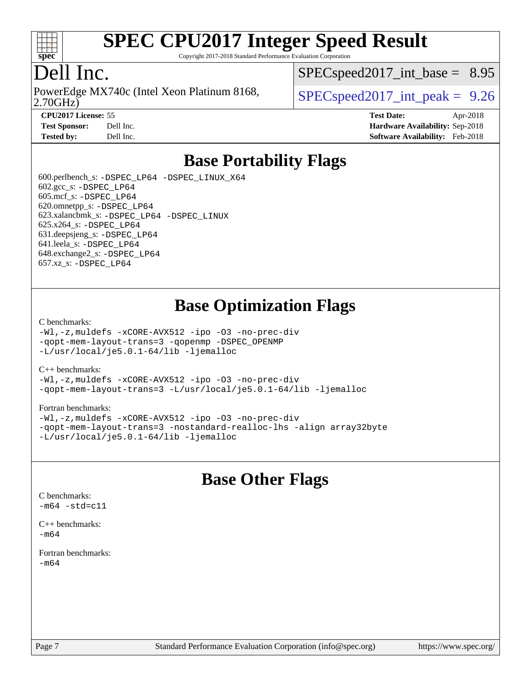

Copyright 2017-2018 Standard Performance Evaluation Corporation

### Dell Inc.

2.70GHz) PowerEdge MX740c (Intel Xeon Platinum 8168,  $\vert$  [SPECspeed2017\\_int\\_peak =](http://www.spec.org/auto/cpu2017/Docs/result-fields.html#SPECspeed2017intpeak) 9.26

 $SPECspeed2017\_int\_base = 8.95$ 

**[CPU2017 License:](http://www.spec.org/auto/cpu2017/Docs/result-fields.html#CPU2017License)** 55 **[Test Date:](http://www.spec.org/auto/cpu2017/Docs/result-fields.html#TestDate)** Apr-2018 **[Test Sponsor:](http://www.spec.org/auto/cpu2017/Docs/result-fields.html#TestSponsor)** Dell Inc. **[Hardware Availability:](http://www.spec.org/auto/cpu2017/Docs/result-fields.html#HardwareAvailability)** Sep-2018 **[Tested by:](http://www.spec.org/auto/cpu2017/Docs/result-fields.html#Testedby)** Dell Inc. **[Software Availability:](http://www.spec.org/auto/cpu2017/Docs/result-fields.html#SoftwareAvailability)** Feb-2018

### **[Base Portability Flags](http://www.spec.org/auto/cpu2017/Docs/result-fields.html#BasePortabilityFlags)**

 600.perlbench\_s: [-DSPEC\\_LP64](http://www.spec.org/cpu2017/results/res2018q4/cpu2017-20181001-09005.flags.html#b600.perlbench_s_basePORTABILITY_DSPEC_LP64) [-DSPEC\\_LINUX\\_X64](http://www.spec.org/cpu2017/results/res2018q4/cpu2017-20181001-09005.flags.html#b600.perlbench_s_baseCPORTABILITY_DSPEC_LINUX_X64)  $602.\text{gcc}\$ s:  $-DSPEC$  LP64 605.mcf\_s: [-DSPEC\\_LP64](http://www.spec.org/cpu2017/results/res2018q4/cpu2017-20181001-09005.flags.html#suite_basePORTABILITY605_mcf_s_DSPEC_LP64) 620.omnetpp\_s: [-DSPEC\\_LP64](http://www.spec.org/cpu2017/results/res2018q4/cpu2017-20181001-09005.flags.html#suite_basePORTABILITY620_omnetpp_s_DSPEC_LP64) 623.xalancbmk\_s: [-DSPEC\\_LP64](http://www.spec.org/cpu2017/results/res2018q4/cpu2017-20181001-09005.flags.html#suite_basePORTABILITY623_xalancbmk_s_DSPEC_LP64) [-DSPEC\\_LINUX](http://www.spec.org/cpu2017/results/res2018q4/cpu2017-20181001-09005.flags.html#b623.xalancbmk_s_baseCXXPORTABILITY_DSPEC_LINUX) 625.x264\_s: [-DSPEC\\_LP64](http://www.spec.org/cpu2017/results/res2018q4/cpu2017-20181001-09005.flags.html#suite_basePORTABILITY625_x264_s_DSPEC_LP64) 631.deepsjeng\_s: [-DSPEC\\_LP64](http://www.spec.org/cpu2017/results/res2018q4/cpu2017-20181001-09005.flags.html#suite_basePORTABILITY631_deepsjeng_s_DSPEC_LP64) 641.leela\_s: [-DSPEC\\_LP64](http://www.spec.org/cpu2017/results/res2018q4/cpu2017-20181001-09005.flags.html#suite_basePORTABILITY641_leela_s_DSPEC_LP64) 648.exchange2\_s: [-DSPEC\\_LP64](http://www.spec.org/cpu2017/results/res2018q4/cpu2017-20181001-09005.flags.html#suite_basePORTABILITY648_exchange2_s_DSPEC_LP64) 657.xz\_s: [-DSPEC\\_LP64](http://www.spec.org/cpu2017/results/res2018q4/cpu2017-20181001-09005.flags.html#suite_basePORTABILITY657_xz_s_DSPEC_LP64)

### **[Base Optimization Flags](http://www.spec.org/auto/cpu2017/Docs/result-fields.html#BaseOptimizationFlags)**

#### [C benchmarks](http://www.spec.org/auto/cpu2017/Docs/result-fields.html#Cbenchmarks):

[-Wl,-z,muldefs](http://www.spec.org/cpu2017/results/res2018q4/cpu2017-20181001-09005.flags.html#user_CCbase_link_force_multiple1_b4cbdb97b34bdee9ceefcfe54f4c8ea74255f0b02a4b23e853cdb0e18eb4525ac79b5a88067c842dd0ee6996c24547a27a4b99331201badda8798ef8a743f577) [-xCORE-AVX512](http://www.spec.org/cpu2017/results/res2018q4/cpu2017-20181001-09005.flags.html#user_CCbase_f-xCORE-AVX512) [-ipo](http://www.spec.org/cpu2017/results/res2018q4/cpu2017-20181001-09005.flags.html#user_CCbase_f-ipo) [-O3](http://www.spec.org/cpu2017/results/res2018q4/cpu2017-20181001-09005.flags.html#user_CCbase_f-O3) [-no-prec-div](http://www.spec.org/cpu2017/results/res2018q4/cpu2017-20181001-09005.flags.html#user_CCbase_f-no-prec-div) [-qopt-mem-layout-trans=3](http://www.spec.org/cpu2017/results/res2018q4/cpu2017-20181001-09005.flags.html#user_CCbase_f-qopt-mem-layout-trans_de80db37974c74b1f0e20d883f0b675c88c3b01e9d123adea9b28688d64333345fb62bc4a798493513fdb68f60282f9a726aa07f478b2f7113531aecce732043) [-qopenmp](http://www.spec.org/cpu2017/results/res2018q4/cpu2017-20181001-09005.flags.html#user_CCbase_qopenmp_16be0c44f24f464004c6784a7acb94aca937f053568ce72f94b139a11c7c168634a55f6653758ddd83bcf7b8463e8028bb0b48b77bcddc6b78d5d95bb1df2967) [-DSPEC\\_OPENMP](http://www.spec.org/cpu2017/results/res2018q4/cpu2017-20181001-09005.flags.html#suite_CCbase_DSPEC_OPENMP) [-L/usr/local/je5.0.1-64/lib](http://www.spec.org/cpu2017/results/res2018q4/cpu2017-20181001-09005.flags.html#user_CCbase_jemalloc_link_path64_4b10a636b7bce113509b17f3bd0d6226c5fb2346b9178c2d0232c14f04ab830f976640479e5c33dc2bcbbdad86ecfb6634cbbd4418746f06f368b512fced5394) [-ljemalloc](http://www.spec.org/cpu2017/results/res2018q4/cpu2017-20181001-09005.flags.html#user_CCbase_jemalloc_link_lib_d1249b907c500fa1c0672f44f562e3d0f79738ae9e3c4a9c376d49f265a04b9c99b167ecedbf6711b3085be911c67ff61f150a17b3472be731631ba4d0471706)

### [C++ benchmarks:](http://www.spec.org/auto/cpu2017/Docs/result-fields.html#CXXbenchmarks)

[-Wl,-z,muldefs](http://www.spec.org/cpu2017/results/res2018q4/cpu2017-20181001-09005.flags.html#user_CXXbase_link_force_multiple1_b4cbdb97b34bdee9ceefcfe54f4c8ea74255f0b02a4b23e853cdb0e18eb4525ac79b5a88067c842dd0ee6996c24547a27a4b99331201badda8798ef8a743f577) [-xCORE-AVX512](http://www.spec.org/cpu2017/results/res2018q4/cpu2017-20181001-09005.flags.html#user_CXXbase_f-xCORE-AVX512) [-ipo](http://www.spec.org/cpu2017/results/res2018q4/cpu2017-20181001-09005.flags.html#user_CXXbase_f-ipo) [-O3](http://www.spec.org/cpu2017/results/res2018q4/cpu2017-20181001-09005.flags.html#user_CXXbase_f-O3) [-no-prec-div](http://www.spec.org/cpu2017/results/res2018q4/cpu2017-20181001-09005.flags.html#user_CXXbase_f-no-prec-div) [-qopt-mem-layout-trans=3](http://www.spec.org/cpu2017/results/res2018q4/cpu2017-20181001-09005.flags.html#user_CXXbase_f-qopt-mem-layout-trans_de80db37974c74b1f0e20d883f0b675c88c3b01e9d123adea9b28688d64333345fb62bc4a798493513fdb68f60282f9a726aa07f478b2f7113531aecce732043) [-L/usr/local/je5.0.1-64/lib](http://www.spec.org/cpu2017/results/res2018q4/cpu2017-20181001-09005.flags.html#user_CXXbase_jemalloc_link_path64_4b10a636b7bce113509b17f3bd0d6226c5fb2346b9178c2d0232c14f04ab830f976640479e5c33dc2bcbbdad86ecfb6634cbbd4418746f06f368b512fced5394) [-ljemalloc](http://www.spec.org/cpu2017/results/res2018q4/cpu2017-20181001-09005.flags.html#user_CXXbase_jemalloc_link_lib_d1249b907c500fa1c0672f44f562e3d0f79738ae9e3c4a9c376d49f265a04b9c99b167ecedbf6711b3085be911c67ff61f150a17b3472be731631ba4d0471706)

### [Fortran benchmarks](http://www.spec.org/auto/cpu2017/Docs/result-fields.html#Fortranbenchmarks):

[-Wl,-z,muldefs](http://www.spec.org/cpu2017/results/res2018q4/cpu2017-20181001-09005.flags.html#user_FCbase_link_force_multiple1_b4cbdb97b34bdee9ceefcfe54f4c8ea74255f0b02a4b23e853cdb0e18eb4525ac79b5a88067c842dd0ee6996c24547a27a4b99331201badda8798ef8a743f577) [-xCORE-AVX512](http://www.spec.org/cpu2017/results/res2018q4/cpu2017-20181001-09005.flags.html#user_FCbase_f-xCORE-AVX512) [-ipo](http://www.spec.org/cpu2017/results/res2018q4/cpu2017-20181001-09005.flags.html#user_FCbase_f-ipo) [-O3](http://www.spec.org/cpu2017/results/res2018q4/cpu2017-20181001-09005.flags.html#user_FCbase_f-O3) [-no-prec-div](http://www.spec.org/cpu2017/results/res2018q4/cpu2017-20181001-09005.flags.html#user_FCbase_f-no-prec-div) [-qopt-mem-layout-trans=3](http://www.spec.org/cpu2017/results/res2018q4/cpu2017-20181001-09005.flags.html#user_FCbase_f-qopt-mem-layout-trans_de80db37974c74b1f0e20d883f0b675c88c3b01e9d123adea9b28688d64333345fb62bc4a798493513fdb68f60282f9a726aa07f478b2f7113531aecce732043) [-nostandard-realloc-lhs](http://www.spec.org/cpu2017/results/res2018q4/cpu2017-20181001-09005.flags.html#user_FCbase_f_2003_std_realloc_82b4557e90729c0f113870c07e44d33d6f5a304b4f63d4c15d2d0f1fab99f5daaed73bdb9275d9ae411527f28b936061aa8b9c8f2d63842963b95c9dd6426b8a) [-align array32byte](http://www.spec.org/cpu2017/results/res2018q4/cpu2017-20181001-09005.flags.html#user_FCbase_align_array32byte_b982fe038af199962ba9a80c053b8342c548c85b40b8e86eb3cc33dee0d7986a4af373ac2d51c3f7cf710a18d62fdce2948f201cd044323541f22fc0fffc51b6) [-L/usr/local/je5.0.1-64/lib](http://www.spec.org/cpu2017/results/res2018q4/cpu2017-20181001-09005.flags.html#user_FCbase_jemalloc_link_path64_4b10a636b7bce113509b17f3bd0d6226c5fb2346b9178c2d0232c14f04ab830f976640479e5c33dc2bcbbdad86ecfb6634cbbd4418746f06f368b512fced5394) [-ljemalloc](http://www.spec.org/cpu2017/results/res2018q4/cpu2017-20181001-09005.flags.html#user_FCbase_jemalloc_link_lib_d1249b907c500fa1c0672f44f562e3d0f79738ae9e3c4a9c376d49f265a04b9c99b167ecedbf6711b3085be911c67ff61f150a17b3472be731631ba4d0471706)

### **[Base Other Flags](http://www.spec.org/auto/cpu2017/Docs/result-fields.html#BaseOtherFlags)**

[C benchmarks](http://www.spec.org/auto/cpu2017/Docs/result-fields.html#Cbenchmarks):  $-m64 - std= c11$  $-m64 - std= c11$ 

[C++ benchmarks:](http://www.spec.org/auto/cpu2017/Docs/result-fields.html#CXXbenchmarks) [-m64](http://www.spec.org/cpu2017/results/res2018q4/cpu2017-20181001-09005.flags.html#user_CXXbase_intel_intel64_18.0_af43caccfc8ded86e7699f2159af6efc7655f51387b94da716254467f3c01020a5059329e2569e4053f409e7c9202a7efc638f7a6d1ffb3f52dea4a3e31d82ab)

[Fortran benchmarks](http://www.spec.org/auto/cpu2017/Docs/result-fields.html#Fortranbenchmarks): [-m64](http://www.spec.org/cpu2017/results/res2018q4/cpu2017-20181001-09005.flags.html#user_FCbase_intel_intel64_18.0_af43caccfc8ded86e7699f2159af6efc7655f51387b94da716254467f3c01020a5059329e2569e4053f409e7c9202a7efc638f7a6d1ffb3f52dea4a3e31d82ab)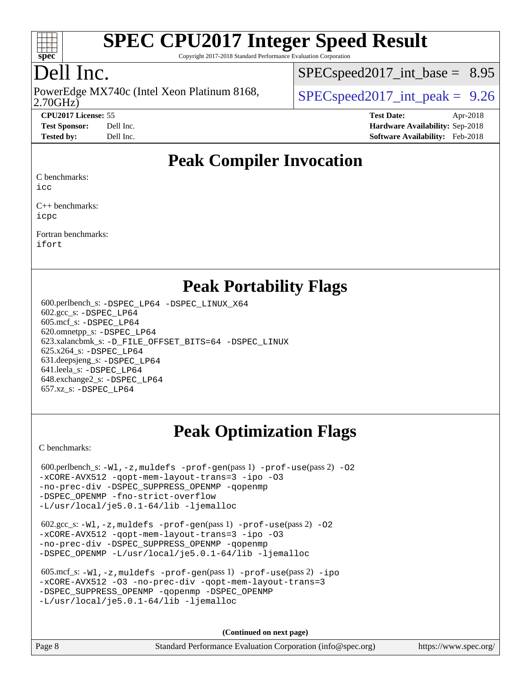

Copyright 2017-2018 Standard Performance Evaluation Corporation

## Dell Inc.

2.70GHz) PowerEdge MX740c (Intel Xeon Platinum 8168,  $\vert$  [SPECspeed2017\\_int\\_peak =](http://www.spec.org/auto/cpu2017/Docs/result-fields.html#SPECspeed2017intpeak) 9.26

 $SPECspeed2017\_int\_base = 8.95$ 

**[CPU2017 License:](http://www.spec.org/auto/cpu2017/Docs/result-fields.html#CPU2017License)** 55 **[Test Date:](http://www.spec.org/auto/cpu2017/Docs/result-fields.html#TestDate)** Apr-2018 **[Test Sponsor:](http://www.spec.org/auto/cpu2017/Docs/result-fields.html#TestSponsor)** Dell Inc. **[Hardware Availability:](http://www.spec.org/auto/cpu2017/Docs/result-fields.html#HardwareAvailability)** Sep-2018 **[Tested by:](http://www.spec.org/auto/cpu2017/Docs/result-fields.html#Testedby)** Dell Inc. **[Software Availability:](http://www.spec.org/auto/cpu2017/Docs/result-fields.html#SoftwareAvailability)** Feb-2018

### **[Peak Compiler Invocation](http://www.spec.org/auto/cpu2017/Docs/result-fields.html#PeakCompilerInvocation)**

[C benchmarks](http://www.spec.org/auto/cpu2017/Docs/result-fields.html#Cbenchmarks):

[icc](http://www.spec.org/cpu2017/results/res2018q4/cpu2017-20181001-09005.flags.html#user_CCpeak_intel_icc_18.0_66fc1ee009f7361af1fbd72ca7dcefbb700085f36577c54f309893dd4ec40d12360134090235512931783d35fd58c0460139e722d5067c5574d8eaf2b3e37e92)

[C++ benchmarks:](http://www.spec.org/auto/cpu2017/Docs/result-fields.html#CXXbenchmarks) [icpc](http://www.spec.org/cpu2017/results/res2018q4/cpu2017-20181001-09005.flags.html#user_CXXpeak_intel_icpc_18.0_c510b6838c7f56d33e37e94d029a35b4a7bccf4766a728ee175e80a419847e808290a9b78be685c44ab727ea267ec2f070ec5dc83b407c0218cded6866a35d07)

[Fortran benchmarks](http://www.spec.org/auto/cpu2017/Docs/result-fields.html#Fortranbenchmarks): [ifort](http://www.spec.org/cpu2017/results/res2018q4/cpu2017-20181001-09005.flags.html#user_FCpeak_intel_ifort_18.0_8111460550e3ca792625aed983ce982f94888b8b503583aa7ba2b8303487b4d8a21a13e7191a45c5fd58ff318f48f9492884d4413fa793fd88dd292cad7027ca)

### **[Peak Portability Flags](http://www.spec.org/auto/cpu2017/Docs/result-fields.html#PeakPortabilityFlags)**

 600.perlbench\_s: [-DSPEC\\_LP64](http://www.spec.org/cpu2017/results/res2018q4/cpu2017-20181001-09005.flags.html#b600.perlbench_s_peakPORTABILITY_DSPEC_LP64) [-DSPEC\\_LINUX\\_X64](http://www.spec.org/cpu2017/results/res2018q4/cpu2017-20181001-09005.flags.html#b600.perlbench_s_peakCPORTABILITY_DSPEC_LINUX_X64) 602.gcc\_s: [-DSPEC\\_LP64](http://www.spec.org/cpu2017/results/res2018q4/cpu2017-20181001-09005.flags.html#suite_peakPORTABILITY602_gcc_s_DSPEC_LP64) 605.mcf\_s: [-DSPEC\\_LP64](http://www.spec.org/cpu2017/results/res2018q4/cpu2017-20181001-09005.flags.html#suite_peakPORTABILITY605_mcf_s_DSPEC_LP64) 620.omnetpp\_s: [-DSPEC\\_LP64](http://www.spec.org/cpu2017/results/res2018q4/cpu2017-20181001-09005.flags.html#suite_peakPORTABILITY620_omnetpp_s_DSPEC_LP64) 623.xalancbmk\_s: [-D\\_FILE\\_OFFSET\\_BITS=64](http://www.spec.org/cpu2017/results/res2018q4/cpu2017-20181001-09005.flags.html#user_peakPORTABILITY623_xalancbmk_s_file_offset_bits_64_5ae949a99b284ddf4e95728d47cb0843d81b2eb0e18bdfe74bbf0f61d0b064f4bda2f10ea5eb90e1dcab0e84dbc592acfc5018bc955c18609f94ddb8d550002c) [-DSPEC\\_LINUX](http://www.spec.org/cpu2017/results/res2018q4/cpu2017-20181001-09005.flags.html#b623.xalancbmk_s_peakCXXPORTABILITY_DSPEC_LINUX) 625.x264\_s: [-DSPEC\\_LP64](http://www.spec.org/cpu2017/results/res2018q4/cpu2017-20181001-09005.flags.html#suite_peakPORTABILITY625_x264_s_DSPEC_LP64) 631.deepsjeng\_s: [-DSPEC\\_LP64](http://www.spec.org/cpu2017/results/res2018q4/cpu2017-20181001-09005.flags.html#suite_peakPORTABILITY631_deepsjeng_s_DSPEC_LP64) 641.leela\_s: [-DSPEC\\_LP64](http://www.spec.org/cpu2017/results/res2018q4/cpu2017-20181001-09005.flags.html#suite_peakPORTABILITY641_leela_s_DSPEC_LP64) 648.exchange2\_s: [-DSPEC\\_LP64](http://www.spec.org/cpu2017/results/res2018q4/cpu2017-20181001-09005.flags.html#suite_peakPORTABILITY648_exchange2_s_DSPEC_LP64) 657.xz\_s: [-DSPEC\\_LP64](http://www.spec.org/cpu2017/results/res2018q4/cpu2017-20181001-09005.flags.html#suite_peakPORTABILITY657_xz_s_DSPEC_LP64)

## **[Peak Optimization Flags](http://www.spec.org/auto/cpu2017/Docs/result-fields.html#PeakOptimizationFlags)**

[C benchmarks](http://www.spec.org/auto/cpu2017/Docs/result-fields.html#Cbenchmarks):

600.perlbench\_s:  $-W1$ , -z, muldefs [-prof-gen](http://www.spec.org/cpu2017/results/res2018q4/cpu2017-20181001-09005.flags.html#user_peakPASS1_CFLAGSPASS1_LDFLAGS600_perlbench_s_prof_gen_5aa4926d6013ddb2a31985c654b3eb18169fc0c6952a63635c234f711e6e63dd76e94ad52365559451ec499a2cdb89e4dc58ba4c67ef54ca681ffbe1461d6b36)(pass 1) [-prof-use](http://www.spec.org/cpu2017/results/res2018q4/cpu2017-20181001-09005.flags.html#user_peakPASS2_CFLAGSPASS2_LDFLAGS600_perlbench_s_prof_use_1a21ceae95f36a2b53c25747139a6c16ca95bd9def2a207b4f0849963b97e94f5260e30a0c64f4bb623698870e679ca08317ef8150905d41bd88c6f78df73f19)(pass 2) -02 [-xCORE-AVX512](http://www.spec.org/cpu2017/results/res2018q4/cpu2017-20181001-09005.flags.html#user_peakPASS2_COPTIMIZE600_perlbench_s_f-xCORE-AVX512) [-qopt-mem-layout-trans=3](http://www.spec.org/cpu2017/results/res2018q4/cpu2017-20181001-09005.flags.html#user_peakPASS1_COPTIMIZEPASS2_COPTIMIZE600_perlbench_s_f-qopt-mem-layout-trans_de80db37974c74b1f0e20d883f0b675c88c3b01e9d123adea9b28688d64333345fb62bc4a798493513fdb68f60282f9a726aa07f478b2f7113531aecce732043) [-ipo](http://www.spec.org/cpu2017/results/res2018q4/cpu2017-20181001-09005.flags.html#user_peakPASS2_COPTIMIZE600_perlbench_s_f-ipo) [-O3](http://www.spec.org/cpu2017/results/res2018q4/cpu2017-20181001-09005.flags.html#user_peakPASS2_COPTIMIZE600_perlbench_s_f-O3) [-no-prec-div](http://www.spec.org/cpu2017/results/res2018q4/cpu2017-20181001-09005.flags.html#user_peakPASS2_COPTIMIZE600_perlbench_s_f-no-prec-div) [-DSPEC\\_SUPPRESS\\_OPENMP](http://www.spec.org/cpu2017/results/res2018q4/cpu2017-20181001-09005.flags.html#suite_peakPASS1_COPTIMIZE600_perlbench_s_DSPEC_SUPPRESS_OPENMP) [-qopenmp](http://www.spec.org/cpu2017/results/res2018q4/cpu2017-20181001-09005.flags.html#user_peakPASS2_COPTIMIZE600_perlbench_s_qopenmp_16be0c44f24f464004c6784a7acb94aca937f053568ce72f94b139a11c7c168634a55f6653758ddd83bcf7b8463e8028bb0b48b77bcddc6b78d5d95bb1df2967) [-DSPEC\\_OPENMP](http://www.spec.org/cpu2017/results/res2018q4/cpu2017-20181001-09005.flags.html#suite_peakPASS2_COPTIMIZE600_perlbench_s_DSPEC_OPENMP) [-fno-strict-overflow](http://www.spec.org/cpu2017/results/res2018q4/cpu2017-20181001-09005.flags.html#user_peakEXTRA_OPTIMIZE600_perlbench_s_f-fno-strict-overflow) [-L/usr/local/je5.0.1-64/lib](http://www.spec.org/cpu2017/results/res2018q4/cpu2017-20181001-09005.flags.html#user_peakEXTRA_LIBS600_perlbench_s_jemalloc_link_path64_4b10a636b7bce113509b17f3bd0d6226c5fb2346b9178c2d0232c14f04ab830f976640479e5c33dc2bcbbdad86ecfb6634cbbd4418746f06f368b512fced5394) [-ljemalloc](http://www.spec.org/cpu2017/results/res2018q4/cpu2017-20181001-09005.flags.html#user_peakEXTRA_LIBS600_perlbench_s_jemalloc_link_lib_d1249b907c500fa1c0672f44f562e3d0f79738ae9e3c4a9c376d49f265a04b9c99b167ecedbf6711b3085be911c67ff61f150a17b3472be731631ba4d0471706)

 602.gcc\_s: [-Wl,-z,muldefs](http://www.spec.org/cpu2017/results/res2018q4/cpu2017-20181001-09005.flags.html#user_peakEXTRA_LDFLAGS602_gcc_s_link_force_multiple1_b4cbdb97b34bdee9ceefcfe54f4c8ea74255f0b02a4b23e853cdb0e18eb4525ac79b5a88067c842dd0ee6996c24547a27a4b99331201badda8798ef8a743f577) [-prof-gen](http://www.spec.org/cpu2017/results/res2018q4/cpu2017-20181001-09005.flags.html#user_peakPASS1_CFLAGSPASS1_LDFLAGS602_gcc_s_prof_gen_5aa4926d6013ddb2a31985c654b3eb18169fc0c6952a63635c234f711e6e63dd76e94ad52365559451ec499a2cdb89e4dc58ba4c67ef54ca681ffbe1461d6b36)(pass 1) [-prof-use](http://www.spec.org/cpu2017/results/res2018q4/cpu2017-20181001-09005.flags.html#user_peakPASS2_CFLAGSPASS2_LDFLAGS602_gcc_s_prof_use_1a21ceae95f36a2b53c25747139a6c16ca95bd9def2a207b4f0849963b97e94f5260e30a0c64f4bb623698870e679ca08317ef8150905d41bd88c6f78df73f19)(pass 2) [-O2](http://www.spec.org/cpu2017/results/res2018q4/cpu2017-20181001-09005.flags.html#user_peakPASS1_COPTIMIZE602_gcc_s_f-O2) [-xCORE-AVX512](http://www.spec.org/cpu2017/results/res2018q4/cpu2017-20181001-09005.flags.html#user_peakPASS2_COPTIMIZE602_gcc_s_f-xCORE-AVX512) [-qopt-mem-layout-trans=3](http://www.spec.org/cpu2017/results/res2018q4/cpu2017-20181001-09005.flags.html#user_peakPASS1_COPTIMIZEPASS2_COPTIMIZE602_gcc_s_f-qopt-mem-layout-trans_de80db37974c74b1f0e20d883f0b675c88c3b01e9d123adea9b28688d64333345fb62bc4a798493513fdb68f60282f9a726aa07f478b2f7113531aecce732043) [-ipo](http://www.spec.org/cpu2017/results/res2018q4/cpu2017-20181001-09005.flags.html#user_peakPASS2_COPTIMIZE602_gcc_s_f-ipo) [-O3](http://www.spec.org/cpu2017/results/res2018q4/cpu2017-20181001-09005.flags.html#user_peakPASS2_COPTIMIZE602_gcc_s_f-O3) [-no-prec-div](http://www.spec.org/cpu2017/results/res2018q4/cpu2017-20181001-09005.flags.html#user_peakPASS2_COPTIMIZE602_gcc_s_f-no-prec-div) [-DSPEC\\_SUPPRESS\\_OPENMP](http://www.spec.org/cpu2017/results/res2018q4/cpu2017-20181001-09005.flags.html#suite_peakPASS1_COPTIMIZE602_gcc_s_DSPEC_SUPPRESS_OPENMP) [-qopenmp](http://www.spec.org/cpu2017/results/res2018q4/cpu2017-20181001-09005.flags.html#user_peakPASS2_COPTIMIZE602_gcc_s_qopenmp_16be0c44f24f464004c6784a7acb94aca937f053568ce72f94b139a11c7c168634a55f6653758ddd83bcf7b8463e8028bb0b48b77bcddc6b78d5d95bb1df2967) [-DSPEC\\_OPENMP](http://www.spec.org/cpu2017/results/res2018q4/cpu2017-20181001-09005.flags.html#suite_peakPASS2_COPTIMIZE602_gcc_s_DSPEC_OPENMP) [-L/usr/local/je5.0.1-64/lib](http://www.spec.org/cpu2017/results/res2018q4/cpu2017-20181001-09005.flags.html#user_peakEXTRA_LIBS602_gcc_s_jemalloc_link_path64_4b10a636b7bce113509b17f3bd0d6226c5fb2346b9178c2d0232c14f04ab830f976640479e5c33dc2bcbbdad86ecfb6634cbbd4418746f06f368b512fced5394) [-ljemalloc](http://www.spec.org/cpu2017/results/res2018q4/cpu2017-20181001-09005.flags.html#user_peakEXTRA_LIBS602_gcc_s_jemalloc_link_lib_d1249b907c500fa1c0672f44f562e3d0f79738ae9e3c4a9c376d49f265a04b9c99b167ecedbf6711b3085be911c67ff61f150a17b3472be731631ba4d0471706)

| 605.mcf s: $-Wl$ , $-z$ , muldefs $-prof-qen(pass 1)$ $-prof-use(pass 2) -ipo$ |  |  |  |  |  |  |
|--------------------------------------------------------------------------------|--|--|--|--|--|--|
| -xCORE-AVX512 -03 -no-prec-div -gopt-mem-layout-trans=3                        |  |  |  |  |  |  |
| -DSPEC SUPPRESS OPENMP - gopenmp - DSPEC OPENMP                                |  |  |  |  |  |  |
| $-L/usr/local/ie5.0.1-64/lib -liemalloc$                                       |  |  |  |  |  |  |

**(Continued on next page)**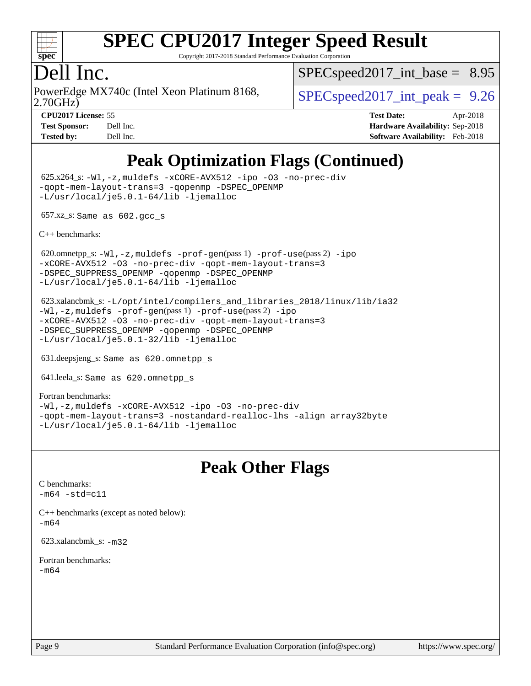

Copyright 2017-2018 Standard Performance Evaluation Corporation

### Dell Inc.

2.70GHz) PowerEdge MX740c (Intel Xeon Platinum 8168,  $\vert$  [SPECspeed2017\\_int\\_peak =](http://www.spec.org/auto/cpu2017/Docs/result-fields.html#SPECspeed2017intpeak) 9.26

 $SPECspeed2017\_int\_base = 8.95$ 

**[CPU2017 License:](http://www.spec.org/auto/cpu2017/Docs/result-fields.html#CPU2017License)** 55 **[Test Date:](http://www.spec.org/auto/cpu2017/Docs/result-fields.html#TestDate)** Apr-2018 **[Test Sponsor:](http://www.spec.org/auto/cpu2017/Docs/result-fields.html#TestSponsor)** Dell Inc. **[Hardware Availability:](http://www.spec.org/auto/cpu2017/Docs/result-fields.html#HardwareAvailability)** Sep-2018 **[Tested by:](http://www.spec.org/auto/cpu2017/Docs/result-fields.html#Testedby)** Dell Inc. **[Software Availability:](http://www.spec.org/auto/cpu2017/Docs/result-fields.html#SoftwareAvailability)** Feb-2018

## **[Peak Optimization Flags \(Continued\)](http://www.spec.org/auto/cpu2017/Docs/result-fields.html#PeakOptimizationFlags)**

 625.x264\_s: [-Wl,-z,muldefs](http://www.spec.org/cpu2017/results/res2018q4/cpu2017-20181001-09005.flags.html#user_peakEXTRA_LDFLAGS625_x264_s_link_force_multiple1_b4cbdb97b34bdee9ceefcfe54f4c8ea74255f0b02a4b23e853cdb0e18eb4525ac79b5a88067c842dd0ee6996c24547a27a4b99331201badda8798ef8a743f577) [-xCORE-AVX512](http://www.spec.org/cpu2017/results/res2018q4/cpu2017-20181001-09005.flags.html#user_peakCOPTIMIZE625_x264_s_f-xCORE-AVX512) [-ipo](http://www.spec.org/cpu2017/results/res2018q4/cpu2017-20181001-09005.flags.html#user_peakCOPTIMIZE625_x264_s_f-ipo) [-O3](http://www.spec.org/cpu2017/results/res2018q4/cpu2017-20181001-09005.flags.html#user_peakCOPTIMIZE625_x264_s_f-O3) [-no-prec-div](http://www.spec.org/cpu2017/results/res2018q4/cpu2017-20181001-09005.flags.html#user_peakCOPTIMIZE625_x264_s_f-no-prec-div) [-qopt-mem-layout-trans=3](http://www.spec.org/cpu2017/results/res2018q4/cpu2017-20181001-09005.flags.html#user_peakCOPTIMIZE625_x264_s_f-qopt-mem-layout-trans_de80db37974c74b1f0e20d883f0b675c88c3b01e9d123adea9b28688d64333345fb62bc4a798493513fdb68f60282f9a726aa07f478b2f7113531aecce732043) [-qopenmp](http://www.spec.org/cpu2017/results/res2018q4/cpu2017-20181001-09005.flags.html#user_peakCOPTIMIZE625_x264_s_qopenmp_16be0c44f24f464004c6784a7acb94aca937f053568ce72f94b139a11c7c168634a55f6653758ddd83bcf7b8463e8028bb0b48b77bcddc6b78d5d95bb1df2967) [-DSPEC\\_OPENMP](http://www.spec.org/cpu2017/results/res2018q4/cpu2017-20181001-09005.flags.html#suite_peakCOPTIMIZE625_x264_s_DSPEC_OPENMP) [-L/usr/local/je5.0.1-64/lib](http://www.spec.org/cpu2017/results/res2018q4/cpu2017-20181001-09005.flags.html#user_peakEXTRA_LIBS625_x264_s_jemalloc_link_path64_4b10a636b7bce113509b17f3bd0d6226c5fb2346b9178c2d0232c14f04ab830f976640479e5c33dc2bcbbdad86ecfb6634cbbd4418746f06f368b512fced5394) [-ljemalloc](http://www.spec.org/cpu2017/results/res2018q4/cpu2017-20181001-09005.flags.html#user_peakEXTRA_LIBS625_x264_s_jemalloc_link_lib_d1249b907c500fa1c0672f44f562e3d0f79738ae9e3c4a9c376d49f265a04b9c99b167ecedbf6711b3085be911c67ff61f150a17b3472be731631ba4d0471706)

657.xz\_s: Same as 602.gcc\_s

[C++ benchmarks:](http://www.spec.org/auto/cpu2017/Docs/result-fields.html#CXXbenchmarks)

620.omnetpp\_s: $-W1$ ,-z,muldefs -prof-qen(pass 1) [-prof-use](http://www.spec.org/cpu2017/results/res2018q4/cpu2017-20181001-09005.flags.html#user_peakPASS2_CXXFLAGSPASS2_LDFLAGS620_omnetpp_s_prof_use_1a21ceae95f36a2b53c25747139a6c16ca95bd9def2a207b4f0849963b97e94f5260e30a0c64f4bb623698870e679ca08317ef8150905d41bd88c6f78df73f19)(pass 2) [-ipo](http://www.spec.org/cpu2017/results/res2018q4/cpu2017-20181001-09005.flags.html#user_peakPASS1_CXXOPTIMIZEPASS2_CXXOPTIMIZE620_omnetpp_s_f-ipo) [-xCORE-AVX512](http://www.spec.org/cpu2017/results/res2018q4/cpu2017-20181001-09005.flags.html#user_peakPASS2_CXXOPTIMIZE620_omnetpp_s_f-xCORE-AVX512) [-O3](http://www.spec.org/cpu2017/results/res2018q4/cpu2017-20181001-09005.flags.html#user_peakPASS1_CXXOPTIMIZEPASS2_CXXOPTIMIZE620_omnetpp_s_f-O3) [-no-prec-div](http://www.spec.org/cpu2017/results/res2018q4/cpu2017-20181001-09005.flags.html#user_peakPASS1_CXXOPTIMIZEPASS2_CXXOPTIMIZE620_omnetpp_s_f-no-prec-div) [-qopt-mem-layout-trans=3](http://www.spec.org/cpu2017/results/res2018q4/cpu2017-20181001-09005.flags.html#user_peakPASS1_CXXOPTIMIZEPASS2_CXXOPTIMIZE620_omnetpp_s_f-qopt-mem-layout-trans_de80db37974c74b1f0e20d883f0b675c88c3b01e9d123adea9b28688d64333345fb62bc4a798493513fdb68f60282f9a726aa07f478b2f7113531aecce732043) [-DSPEC\\_SUPPRESS\\_OPENMP](http://www.spec.org/cpu2017/results/res2018q4/cpu2017-20181001-09005.flags.html#suite_peakPASS1_CXXOPTIMIZE620_omnetpp_s_DSPEC_SUPPRESS_OPENMP) [-qopenmp](http://www.spec.org/cpu2017/results/res2018q4/cpu2017-20181001-09005.flags.html#user_peakPASS2_CXXOPTIMIZE620_omnetpp_s_qopenmp_16be0c44f24f464004c6784a7acb94aca937f053568ce72f94b139a11c7c168634a55f6653758ddd83bcf7b8463e8028bb0b48b77bcddc6b78d5d95bb1df2967) [-DSPEC\\_OPENMP](http://www.spec.org/cpu2017/results/res2018q4/cpu2017-20181001-09005.flags.html#suite_peakPASS2_CXXOPTIMIZE620_omnetpp_s_DSPEC_OPENMP) [-L/usr/local/je5.0.1-64/lib](http://www.spec.org/cpu2017/results/res2018q4/cpu2017-20181001-09005.flags.html#user_peakEXTRA_LIBS620_omnetpp_s_jemalloc_link_path64_4b10a636b7bce113509b17f3bd0d6226c5fb2346b9178c2d0232c14f04ab830f976640479e5c33dc2bcbbdad86ecfb6634cbbd4418746f06f368b512fced5394) [-ljemalloc](http://www.spec.org/cpu2017/results/res2018q4/cpu2017-20181001-09005.flags.html#user_peakEXTRA_LIBS620_omnetpp_s_jemalloc_link_lib_d1249b907c500fa1c0672f44f562e3d0f79738ae9e3c4a9c376d49f265a04b9c99b167ecedbf6711b3085be911c67ff61f150a17b3472be731631ba4d0471706)

 623.xalancbmk\_s: [-L/opt/intel/compilers\\_and\\_libraries\\_2018/linux/lib/ia32](http://www.spec.org/cpu2017/results/res2018q4/cpu2017-20181001-09005.flags.html#user_peakCXXLD623_xalancbmk_s_Enable-32bit-runtime_af243bdb1d79e4c7a4f720bf8275e627de2ecd461de63307bc14cef0633fde3cd7bb2facb32dcc8be9566045fb55d40ce2b72b725f73827aa7833441b71b9343) [-Wl,-z,muldefs](http://www.spec.org/cpu2017/results/res2018q4/cpu2017-20181001-09005.flags.html#user_peakEXTRA_LDFLAGS623_xalancbmk_s_link_force_multiple1_b4cbdb97b34bdee9ceefcfe54f4c8ea74255f0b02a4b23e853cdb0e18eb4525ac79b5a88067c842dd0ee6996c24547a27a4b99331201badda8798ef8a743f577) [-prof-gen](http://www.spec.org/cpu2017/results/res2018q4/cpu2017-20181001-09005.flags.html#user_peakPASS1_CXXFLAGSPASS1_LDFLAGS623_xalancbmk_s_prof_gen_5aa4926d6013ddb2a31985c654b3eb18169fc0c6952a63635c234f711e6e63dd76e94ad52365559451ec499a2cdb89e4dc58ba4c67ef54ca681ffbe1461d6b36)(pass 1) [-prof-use](http://www.spec.org/cpu2017/results/res2018q4/cpu2017-20181001-09005.flags.html#user_peakPASS2_CXXFLAGSPASS2_LDFLAGS623_xalancbmk_s_prof_use_1a21ceae95f36a2b53c25747139a6c16ca95bd9def2a207b4f0849963b97e94f5260e30a0c64f4bb623698870e679ca08317ef8150905d41bd88c6f78df73f19)(pass 2) [-ipo](http://www.spec.org/cpu2017/results/res2018q4/cpu2017-20181001-09005.flags.html#user_peakPASS1_CXXOPTIMIZEPASS2_CXXOPTIMIZE623_xalancbmk_s_f-ipo) [-xCORE-AVX512](http://www.spec.org/cpu2017/results/res2018q4/cpu2017-20181001-09005.flags.html#user_peakPASS2_CXXOPTIMIZE623_xalancbmk_s_f-xCORE-AVX512) [-O3](http://www.spec.org/cpu2017/results/res2018q4/cpu2017-20181001-09005.flags.html#user_peakPASS1_CXXOPTIMIZEPASS2_CXXOPTIMIZE623_xalancbmk_s_f-O3) [-no-prec-div](http://www.spec.org/cpu2017/results/res2018q4/cpu2017-20181001-09005.flags.html#user_peakPASS1_CXXOPTIMIZEPASS2_CXXOPTIMIZE623_xalancbmk_s_f-no-prec-div) [-qopt-mem-layout-trans=3](http://www.spec.org/cpu2017/results/res2018q4/cpu2017-20181001-09005.flags.html#user_peakPASS1_CXXOPTIMIZEPASS2_CXXOPTIMIZE623_xalancbmk_s_f-qopt-mem-layout-trans_de80db37974c74b1f0e20d883f0b675c88c3b01e9d123adea9b28688d64333345fb62bc4a798493513fdb68f60282f9a726aa07f478b2f7113531aecce732043) [-DSPEC\\_SUPPRESS\\_OPENMP](http://www.spec.org/cpu2017/results/res2018q4/cpu2017-20181001-09005.flags.html#suite_peakPASS1_CXXOPTIMIZE623_xalancbmk_s_DSPEC_SUPPRESS_OPENMP) [-qopenmp](http://www.spec.org/cpu2017/results/res2018q4/cpu2017-20181001-09005.flags.html#user_peakPASS2_CXXOPTIMIZE623_xalancbmk_s_qopenmp_16be0c44f24f464004c6784a7acb94aca937f053568ce72f94b139a11c7c168634a55f6653758ddd83bcf7b8463e8028bb0b48b77bcddc6b78d5d95bb1df2967) [-DSPEC\\_OPENMP](http://www.spec.org/cpu2017/results/res2018q4/cpu2017-20181001-09005.flags.html#suite_peakPASS2_CXXOPTIMIZE623_xalancbmk_s_DSPEC_OPENMP) [-L/usr/local/je5.0.1-32/lib](http://www.spec.org/cpu2017/results/res2018q4/cpu2017-20181001-09005.flags.html#user_peakEXTRA_LIBS623_xalancbmk_s_jemalloc_link_path32_e29f22e8e6c17053bbc6a0971f5a9c01a601a06bb1a59df2084b77a2fe0a2995b64fd4256feaeea39eeba3aae142e96e2b2b0a28974019c0c0c88139a84f900a) [-ljemalloc](http://www.spec.org/cpu2017/results/res2018q4/cpu2017-20181001-09005.flags.html#user_peakEXTRA_LIBS623_xalancbmk_s_jemalloc_link_lib_d1249b907c500fa1c0672f44f562e3d0f79738ae9e3c4a9c376d49f265a04b9c99b167ecedbf6711b3085be911c67ff61f150a17b3472be731631ba4d0471706)

631.deepsjeng\_s: Same as 620.omnetpp\_s

641.leela\_s: Same as 620.omnetpp\_s

[Fortran benchmarks](http://www.spec.org/auto/cpu2017/Docs/result-fields.html#Fortranbenchmarks): [-Wl,-z,muldefs](http://www.spec.org/cpu2017/results/res2018q4/cpu2017-20181001-09005.flags.html#user_FCpeak_link_force_multiple1_b4cbdb97b34bdee9ceefcfe54f4c8ea74255f0b02a4b23e853cdb0e18eb4525ac79b5a88067c842dd0ee6996c24547a27a4b99331201badda8798ef8a743f577) [-xCORE-AVX512](http://www.spec.org/cpu2017/results/res2018q4/cpu2017-20181001-09005.flags.html#user_FCpeak_f-xCORE-AVX512) [-ipo](http://www.spec.org/cpu2017/results/res2018q4/cpu2017-20181001-09005.flags.html#user_FCpeak_f-ipo) [-O3](http://www.spec.org/cpu2017/results/res2018q4/cpu2017-20181001-09005.flags.html#user_FCpeak_f-O3) [-no-prec-div](http://www.spec.org/cpu2017/results/res2018q4/cpu2017-20181001-09005.flags.html#user_FCpeak_f-no-prec-div) [-qopt-mem-layout-trans=3](http://www.spec.org/cpu2017/results/res2018q4/cpu2017-20181001-09005.flags.html#user_FCpeak_f-qopt-mem-layout-trans_de80db37974c74b1f0e20d883f0b675c88c3b01e9d123adea9b28688d64333345fb62bc4a798493513fdb68f60282f9a726aa07f478b2f7113531aecce732043) [-nostandard-realloc-lhs](http://www.spec.org/cpu2017/results/res2018q4/cpu2017-20181001-09005.flags.html#user_FCpeak_f_2003_std_realloc_82b4557e90729c0f113870c07e44d33d6f5a304b4f63d4c15d2d0f1fab99f5daaed73bdb9275d9ae411527f28b936061aa8b9c8f2d63842963b95c9dd6426b8a) [-align array32byte](http://www.spec.org/cpu2017/results/res2018q4/cpu2017-20181001-09005.flags.html#user_FCpeak_align_array32byte_b982fe038af199962ba9a80c053b8342c548c85b40b8e86eb3cc33dee0d7986a4af373ac2d51c3f7cf710a18d62fdce2948f201cd044323541f22fc0fffc51b6) [-L/usr/local/je5.0.1-64/lib](http://www.spec.org/cpu2017/results/res2018q4/cpu2017-20181001-09005.flags.html#user_FCpeak_jemalloc_link_path64_4b10a636b7bce113509b17f3bd0d6226c5fb2346b9178c2d0232c14f04ab830f976640479e5c33dc2bcbbdad86ecfb6634cbbd4418746f06f368b512fced5394) [-ljemalloc](http://www.spec.org/cpu2017/results/res2018q4/cpu2017-20181001-09005.flags.html#user_FCpeak_jemalloc_link_lib_d1249b907c500fa1c0672f44f562e3d0f79738ae9e3c4a9c376d49f265a04b9c99b167ecedbf6711b3085be911c67ff61f150a17b3472be731631ba4d0471706)

### **[Peak Other Flags](http://www.spec.org/auto/cpu2017/Docs/result-fields.html#PeakOtherFlags)**

[C benchmarks](http://www.spec.org/auto/cpu2017/Docs/result-fields.html#Cbenchmarks):  $-m64 - std= c11$  $-m64 - std= c11$ 

[C++ benchmarks \(except as noted below\):](http://www.spec.org/auto/cpu2017/Docs/result-fields.html#CXXbenchmarksexceptasnotedbelow) [-m64](http://www.spec.org/cpu2017/results/res2018q4/cpu2017-20181001-09005.flags.html#user_CXXpeak_intel_intel64_18.0_af43caccfc8ded86e7699f2159af6efc7655f51387b94da716254467f3c01020a5059329e2569e4053f409e7c9202a7efc638f7a6d1ffb3f52dea4a3e31d82ab)

623.xalancbmk\_s: [-m32](http://www.spec.org/cpu2017/results/res2018q4/cpu2017-20181001-09005.flags.html#user_peakCXXLD623_xalancbmk_s_intel_ia32_18.0_2666f1173eb60787016b673bfe1358e27016ef7649ea4884b7bc6187fd89dc221d14632e22638cde1c647a518de97358ab15d4ad098ee4e19a8b28d0c25e14bf)

[Fortran benchmarks](http://www.spec.org/auto/cpu2017/Docs/result-fields.html#Fortranbenchmarks): [-m64](http://www.spec.org/cpu2017/results/res2018q4/cpu2017-20181001-09005.flags.html#user_FCpeak_intel_intel64_18.0_af43caccfc8ded86e7699f2159af6efc7655f51387b94da716254467f3c01020a5059329e2569e4053f409e7c9202a7efc638f7a6d1ffb3f52dea4a3e31d82ab)